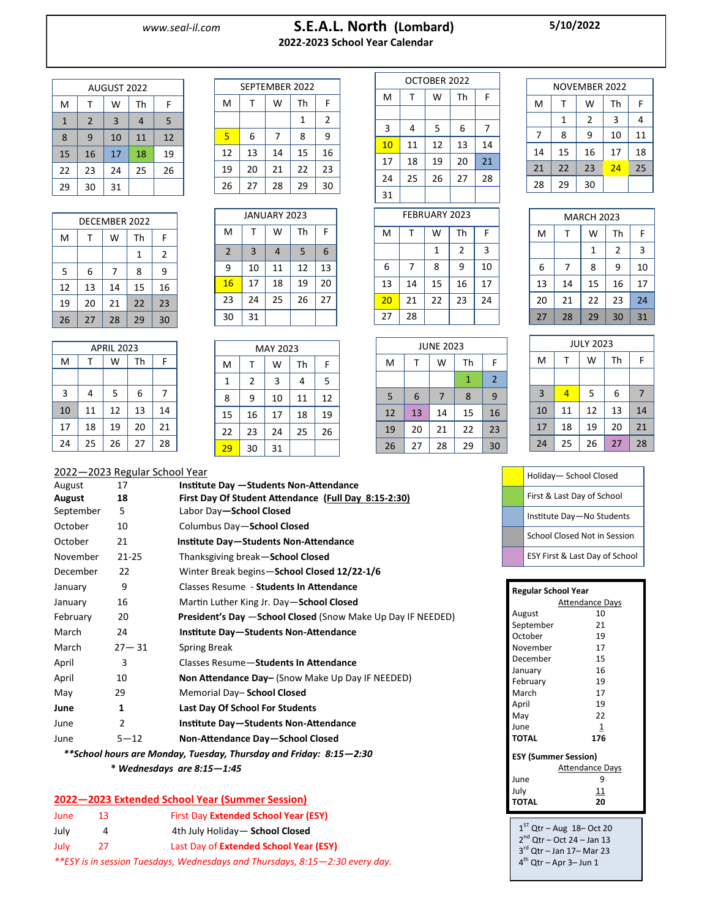## *www.seal-il.com* **S.E.A.L. North (Lombard) 2022-2023 School Year Calendar**

**5/10/2022**

| AUGUST 2022            |              |                |    |    |  |
|------------------------|--------------|----------------|----|----|--|
| M<br>W<br>Th<br>F<br>т |              |                |    |    |  |
| $\mathbf{1}$           | 2            | $\overline{3}$ | 4  | 5  |  |
| 8                      | $\mathsf{q}$ | 10             | 11 | 12 |  |
| 15                     | 16           | 17             | 18 | 19 |  |
| 22                     | 23           | 24             | 25 | 26 |  |
| 29                     | 30           | 31             |    |    |  |

| DECEMBER 2022 |    |    |    |    |  |
|---------------|----|----|----|----|--|
| M             | т  | W  | Th | F  |  |
|               |    |    | 1  | 2  |  |
| 5             | 6  | 7  | 8  | 9  |  |
| 12            | 13 | 14 | 15 | 16 |  |
| 19            | 20 | 21 | 22 | 23 |  |
| 26            | 27 | 28 | 29 | 30 |  |

| APRIL 2023 |    |    |    |    |  |
|------------|----|----|----|----|--|
| M          | т  | W  | Th | F  |  |
|            |    |    |    |    |  |
| 3          | 4  | 5  | 6  | 7  |  |
| 10         | 11 | 12 | 13 | 14 |  |
| 17         | 18 | 19 | 20 | 21 |  |
| 24         | 25 | 26 | 27 | 28 |  |

|    | SEPTEMBER 2022 |    |    |                |
|----|----------------|----|----|----------------|
| M  | т              | w  | Th | F              |
|    |                |    | 1  | $\overline{2}$ |
| 5  | 6              | 7  | 8  | 9              |
| 12 | 13             | 14 | 15 | 16             |
| 19 | 20             | 21 | 22 | 23             |
| 26 | 27             | 28 | 29 | 30             |

|                |                | <b>JANUARY 2023</b> |    |    |
|----------------|----------------|---------------------|----|----|
| M              | т              | W                   | Th | F  |
| $\overline{2}$ | $\overline{3}$ | 4                   | 5  | 6  |
| 9              | 10             | 11                  | 12 | 13 |
| 16             | 17             | 18                  | 19 | 20 |
| 23             | 24             | 25                  | 26 | 27 |
| 30             | 31             |                     |    |    |

|    |    | MAY 2023 |    |    |
|----|----|----------|----|----|
| M  | т  | W        | Th | F  |
| 1  | 2  | 3        | 4  | 5  |
| 8  | 9  | 10       | 11 | 12 |
| 15 | 16 | 17       | 18 | 19 |
| 22 | 23 | 24       | 25 | 26 |
| 29 | 30 | 31       |    |    |

| OCTOBER 2022         |    |                      |    |    |  |
|----------------------|----|----------------------|----|----|--|
| M                    | т  | W                    | Th | F  |  |
|                      |    |                      |    |    |  |
| 3                    | 4  | 5                    | 6  | 7  |  |
| 10                   | 11 | 12                   | 13 | 14 |  |
| 17                   | 18 | 19                   | 20 | 21 |  |
| 24                   | 25 | 26                   | 27 | 28 |  |
| 31                   |    |                      |    |    |  |
|                      |    |                      |    |    |  |
| <b>FEBRUARY 2023</b> |    |                      |    |    |  |
|                      |    | $\sim$ $\sim$ $\sim$ |    |    |  |

|    |    | NOVEMBER 2022  |    |    |
|----|----|----------------|----|----|
| M  |    | w              | Th | F  |
|    | 1  | $\overline{2}$ | 3  | 4  |
| 7  | 8  | ٩              | 10 | 11 |
| 14 | 15 | 16             | 17 | 18 |
| 21 | 22 | 23             | 24 | 25 |
| 28 | 29 | 30             |    |    |

| FEBRUARY 2023 |    |              |                |    |  |
|---------------|----|--------------|----------------|----|--|
| M             |    | W            | Th             | F  |  |
|               |    | $\mathbf{1}$ | $\overline{2}$ | 3  |  |
| 6             | 7  | 8            | 9              | 10 |  |
| 13            | 14 | 15           | 16             | 17 |  |
| 20            | 21 | 22           | 23             | 24 |  |
| 27            | 28 |              |                |    |  |

| <b>JUNE 2023</b> |    |    |    |                |
|------------------|----|----|----|----------------|
| M                | т  | W  | Th | F              |
|                  |    |    | 1  | $\overline{2}$ |
| 5                | 6  | 7  | 8  | 9              |
| 12               | 13 | 14 | 15 | 16             |
| 19               | 20 | 21 | 22 | 23             |
| 26               | 27 | 28 | 29 | 30             |

| W<br>Th<br>F<br>M<br>т<br>3<br>$\overline{2}$<br>1<br>9<br>10<br>6<br>8<br>7<br>15<br>16<br>13<br>17<br>14<br>22<br>23<br>24<br>20<br>21<br>30<br>29<br>31<br>28<br>27 |  |  |  |
|------------------------------------------------------------------------------------------------------------------------------------------------------------------------|--|--|--|
|                                                                                                                                                                        |  |  |  |
|                                                                                                                                                                        |  |  |  |
|                                                                                                                                                                        |  |  |  |
|                                                                                                                                                                        |  |  |  |
|                                                                                                                                                                        |  |  |  |
|                                                                                                                                                                        |  |  |  |
|                                                                                                                                                                        |  |  |  |

MARCH 2023

| <b>JULY 2023</b> |    |    |    |    |  |
|------------------|----|----|----|----|--|
| M                | т  | W  | Th | F  |  |
|                  |    |    |    |    |  |
| $\overline{3}$   | 4  | 5  | 6  | 7  |  |
| 10               | 11 | 12 | 13 | 14 |  |
| 17               | 18 | 19 | 20 | 21 |  |
| 24               | 25 | 26 | 27 | 28 |  |

|           | 2022-2023 Regular School Year |         |
|-----------|-------------------------------|---------|
| 12 نور نه | 17                            | Institu |

| August    | 17        | <b>Institute Day - Students Non-Attendance</b>               |
|-----------|-----------|--------------------------------------------------------------|
| August    | 18        | First Day Of Student Attendance (Full Day 8:15-2:30)         |
| September | 5         | Labor Day-School Closed                                      |
| October   | 10        | Columbus Day-School Closed                                   |
| October   | 21        | Institute Day-Students Non-Attendance                        |
| November  | $21 - 25$ | Thanksgiving break-School Closed                             |
| December  | 22        | Winter Break begins-School Closed 12/22-1/6                  |
| January   | 9         | Classes Resume - Students In Attendance                      |
| January   | 16        | Martin Luther King Jr. Day-School Closed                     |
| February  | 20        | President's Day - School Closed (Snow Make Up Day IF NEEDED) |
| March     | 24        | Institute Day-Students Non-Attendance                        |
| March     | $27 - 31$ | Spring Break                                                 |
| April     | 3         | Classes Resume-Students In Attendance                        |
| April     | 10        | Non Attendance Day- (Snow Make Up Day IF NEEDED)             |
| May       | 29        | Memorial Day-School Closed                                   |
| June      | 1         | <b>Last Day Of School For Students</b>                       |
| June      | 2         | Institute Day-Students Non-Attendance                        |
| June      | $5 - 12$  | Non-Attendance Day-School Closed                             |
|           |           |                                                              |

 *\*\*School hours are Monday, Tuesday, Thursday and Friday: 8:15—2:30*

 **\*** *Wednesdays are 8:15—1:45*

## **2022—2023 Extended School Year (Summer Session)**

| June                                                                         | 13 | First Day Extended School Year (ESY)   |  |
|------------------------------------------------------------------------------|----|----------------------------------------|--|
| July                                                                         |    | 4th July Holiday - School Closed       |  |
| July                                                                         | 27 | Last Day of Extended School Year (ESY) |  |
| **ESY is in session Tuesdays, Wednesdays and Thursdays, 8:15–2:30 every day. |    |                                        |  |

| Holiday- School Closed         |
|--------------------------------|
| First & Last Day of School     |
| Institute Day-No Students      |
| School Closed Not in Session   |
| ESY First & Last Day of School |

| <b>Regular School Year</b> |                        |  |
|----------------------------|------------------------|--|
|                            | <b>Attendance Days</b> |  |
| August                     | 10                     |  |
| September                  | 21                     |  |
| October                    | 19                     |  |
| November                   | 17                     |  |
| December                   | 15                     |  |
| January                    | 16                     |  |
| February                   | 19                     |  |
| March                      | 17                     |  |
| April                      | 19                     |  |
| May                        | 22                     |  |
| June                       | 1                      |  |
| TOTAL                      | 176                    |  |
| ESY (Summer Session)       |                        |  |
|                            | <b>Attendance Days</b> |  |
| June                       | 9                      |  |
| July                       | 11                     |  |
| <b>TOTAL</b>               | 20                     |  |
|                            |                        |  |

 $1<sup>ST</sup>$  Qtr – Aug  $18$ – Oct 20 2<sup>nd</sup> Qtr – Oct 24 – Jan 13 3 rd Qtr – Jan 17– Mar 23 4<sup>th</sup> Qtr – Apr 3– Jun 1